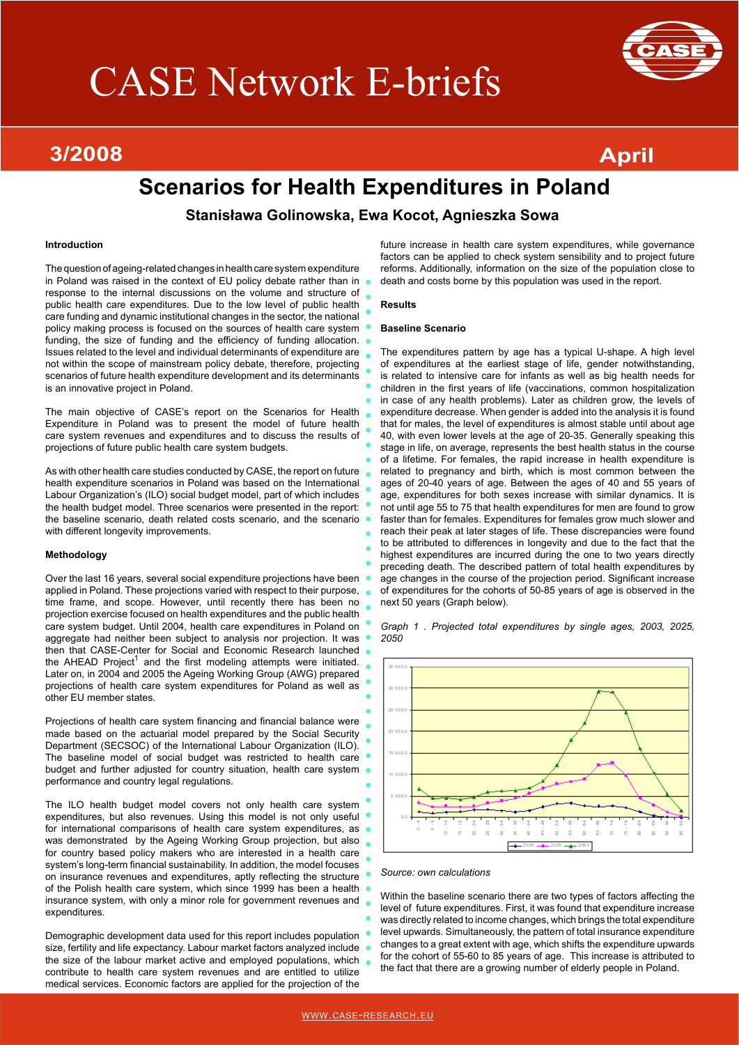# CASE Network E-briefs

#### 1/2008 - Die Berger von Staatsmann († 1892)<br>18 Maart – Julie Barnett, Amerikaansk politikus († 1805) **3/2008 April**



## **Scenarios for Health Expenditures in Poland**

**Stanisława Golinowska, Ewa Kocot, Agnieszka Sowa**

#### **Introduction**

The question of ageing-related changes in health care system expenditure in Poland was raised in the context of EU policy debate rather than in response to the internal discussions on the volume and structure of public health care expenditures. Due to the low level of public health care funding and dynamic institutional changes in the sector, the national policy making process is focused on the sources of health care system funding, the size of funding and the efficiency of funding allocation. Issues related to the level and individual determinants of expenditure are not within the scope of mainstream policy debate, therefore, projecting scenarios of future health expenditure development and its determinants is an innovative project in Poland.

The main objective of CASE's report on the Scenarios for Health Expenditure in Poland was to present the model of future health care system revenues and expenditures and to discuss the results of projections of future public health care system budgets.

As with other health care studies conducted by CASE, the report on future health expenditure scenarios in Poland was based on the International Labour Organization's (ILO) social budget model, part of which includes the health budget model. Three scenarios were presented in the report: the baseline scenario, death related costs scenario, and the scenario with different longevity improvements.

#### **Methodology**

Over the last 16 years, several social expenditure projections have been applied in Poland. These projections varied with respect to their purpose, time frame, and scope. However, until recently there has been no projection exercise focused on health expenditures and the public health care system budget. Until 2004, health care expenditures in Poland on aggregate had neither been subject to analysis nor projection. It was then that CASE-Center for Social and Economic Research launched the AHEAD Project<sup>1</sup> and the first modeling attempts were initiated. Later on, in 2004 and 2005 the Ageing Working Group (AWG) prepared projections of health care system expenditures for Poland as well as other EU member states.

Projections of health care system financing and financial balance were made based on the actuarial model prepared by the Social Security Department (SECSOC) of the International Labour Organization (ILO). The baseline model of social budget was restricted to health care budget and further adjusted for country situation, health care system performance and country legal regulations.

The ILO health budget model covers not only health care system expenditures, but also revenues. Using this model is not only useful for international comparisons of health care system expenditures, as was demonstrated by the Ageing Working Group projection, but also for country based policy makers who are interested in a health care system's long-term financial sustainability. In addition, the model focuses on insurance revenues and expenditures, aptly reflecting the structure of the Polish health care system, which since 1999 has been a health insurance system, with only a minor role for government revenues and expenditures.

Demographic development data used for this report includes population size, fertility and life expectancy. Labour market factors analyzed include the size of the labour market active and employed populations, which contribute to health care system revenues and are entitled to utilize medical services. Economic factors are applied for the projection of the

future increase in health care system expenditures, while governance factors can be applied to check system sensibility and to project future reforms. Additionally, information on the size of the population close to death and costs borne by this population was used in the report.

#### **Results**

#### **Baseline Scenario**

The expenditures pattern by age has a typical U-shape. A high level of expenditures at the earliest stage of life, gender notwithstanding, is related to intensive care for infants as well as big health needs for children in the first years of life (vaccinations, common hospitalization in case of any health problems). Later as children grow, the levels of expenditure decrease. When gender is added into the analysis it is found that for males, the level of expenditures is almost stable until about age 40, with even lower levels at the age of 20-35. Generally speaking this stage in life, on average, represents the best health status in the course of a lifetime. For females, the rapid increase in health expenditure is related to pregnancy and birth, which is most common between the ages of 20-40 years of age. Between the ages of 40 and 55 years of age, expenditures for both sexes increase with similar dynamics. It is not until age 55 to 75 that health expenditures for men are found to grow faster than for females. Expenditures for females grow much slower and reach their peak at later stages of life. These discrepancies were found to be attributed to differences in longevity and due to the fact that the highest expenditures are incurred during the one to two years directly preceding death. The described pattern of total health expenditures by age changes in the course of the projection period. Significant increase of expenditures for the cohorts of 50-85 years of age is observed in the next 50 years (Graph below).

*Graph 1 . Projected total expenditures by single ages, 2003, 2025, 2050*



*Source: own calculations*

Within the baseline scenario there are two types of factors affecting the level of future expenditures. First, it was found that expenditure increase was directly related to income changes, which brings the total expenditure level upwards. Simultaneously, the pattern of total insurance expenditure changes to a great extent with age, which shifts the expenditure upwards for the cohort of 55-60 to 85 years of age. This increase is attributed to the fact that there are a growing number of elderly people in Poland.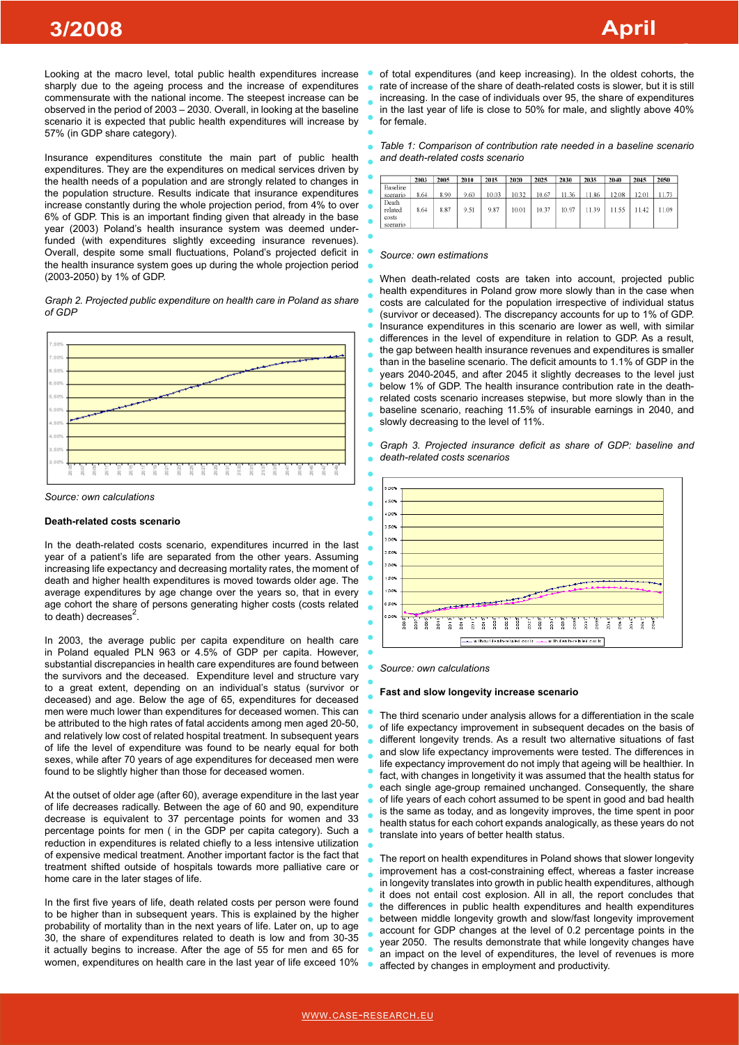#### 1/2008 - Die Berger von Staatsbekerk († 1892)<br>18. Martin – Johann Stein, Amerikaansk politikus († 1805) **3/2008 April**

Looking at the macro level, total public health expenditures increase sharply due to the ageing process and the increase of expenditures commensurate with the national income. The steepest increase can be observed in the period of 2003 – 2030. Overall, in looking at the baseline scenario it is expected that public health expenditures will increase by 57% (in GDP share category).

Insurance expenditures constitute the main part of public health expenditures. They are the expenditures on medical services driven by the health needs of a population and are strongly related to changes in the population structure. Results indicate that insurance expenditures increase constantly during the whole projection period, from 4% to over 6% of GDP. This is an important finding given that already in the base year (2003) Poland's health insurance system was deemed underfunded (with expenditures slightly exceeding insurance revenues). Overall, despite some small fluctuations, Poland's projected deficit in the health insurance system goes up during the whole projection period (2003-2050) by 1% of GDP.

*Graph 2. Projected public expenditure on health care in Poland as share of GDP*



*Source: own calculations*

### **Death-related costs scenario**

In the death-related costs scenario, expenditures incurred in the last year of a patient's life are separated from the other years. Assuming increasing life expectancy and decreasing mortality rates, the moment of death and higher health expenditures is moved towards older age. The average expenditures by age change over the years so, that in every age cohort the share of persons generating higher costs (costs related to death) decreases $2$ .

In 2003, the average public per capita expenditure on health care in Poland equaled PLN 963 or 4.5% of GDP per capita. However, substantial discrepancies in health care expenditures are found between the survivors and the deceased. Expenditure level and structure vary to a great extent, depending on an individual's status (survivor or deceased) and age. Below the age of 65, expenditures for deceased men were much lower than expenditures for deceased women. This can be attributed to the high rates of fatal accidents among men aged 20-50, and relatively low cost of related hospital treatment. In subsequent years of life the level of expenditure was found to be nearly equal for both sexes, while after 70 years of age expenditures for deceased men were found to be slightly higher than those for deceased women.

At the outset of older age (after 60), average expenditure in the last year of life decreases radically. Between the age of 60 and 90, expenditure decrease is equivalent to 37 percentage points for women and 33 percentage points for men ( in the GDP per capita category). Such a reduction in expenditures is related chiefly to a less intensive utilization of expensive medical treatment. Another important factor is the fact that treatment shifted outside of hospitals towards more palliative care or home care in the later stages of life.

In the first five years of life, death related costs per person were found to be higher than in subsequent years. This is explained by the higher probability of mortality than in the next years of life. Later on, up to age 30, the share of expenditures related to death is low and from 30-35 it actually begins to increase. After the age of 55 for men and 65 for women, expenditures on health care in the last year of life exceed 10% of total expenditures (and keep increasing). In the oldest cohorts, the rate of increase of the share of death-related costs is slower, but it is still increasing. In the case of individuals over 95, the share of expenditures in the last year of life is close to 50% for male, and slightly above 40% for female.

#### *Table 1: Comparison of contribution rate needed in a baseline scenario and death-related costs scenario*

|                                       | 2003 | 2005 | 2010 | 2015  | 2020  | 2025  | 2030  | 2035  | 2040  | 2045  | 2050  |
|---------------------------------------|------|------|------|-------|-------|-------|-------|-------|-------|-------|-------|
| Baseline<br>scenario                  | 8.64 | 8.90 | 9.60 | 10.03 | 10.32 | 10.67 | 11.36 | 11.86 | 12.08 | 12.01 | 11.73 |
| Death<br>related<br>costs<br>scenario | 8.64 | 8.87 | 9.51 | 9.87  | 10.01 | 10.37 | 10.97 | 11.39 | 11.55 | 11.42 | 11.09 |

#### *Source: own estimations*

When death-related costs are taken into account, projected public health expenditures in Poland grow more slowly than in the case when costs are calculated for the population irrespective of individual status (survivor or deceased). The discrepancy accounts for up to 1% of GDP. Insurance expenditures in this scenario are lower as well, with similar differences in the level of expenditure in relation to GDP. As a result, the gap between health insurance revenues and expenditures is smaller than in the baseline scenario. The deficit amounts to 1.1% of GDP in the years 2040-2045, and after 2045 it slightly decreases to the level just below 1% of GDP. The health insurance contribution rate in the deathrelated costs scenario increases stepwise, but more slowly than in the baseline scenario, reaching 11.5% of insurable earnings in 2040, and slowly decreasing to the level of 11%.

*Graph 3. Projected insurance deficit as share of GDP: baseline and death-related costs scenarios*



*Source: own calculations*

#### **Fast and slow longevity increase scenario**

The third scenario under analysis allows for a differentiation in the scale of life expectancy improvement in subsequent decades on the basis of different longevity trends. As a result two alternative situations of fast and slow life expectancy improvements were tested. The differences in life expectancy improvement do not imply that ageing will be healthier. In fact, with changes in longetivity it was assumed that the health status for each single age-group remained unchanged. Consequently, the share of life years of each cohort assumed to be spent in good and bad health is the same as today, and as longevity improves, the time spent in poor health status for each cohort expands analogically, as these years do not translate into years of better health status.

The report on health expenditures in Poland shows that slower longevity improvement has a cost-constraining effect, whereas a faster increase in longevity translates into growth in public health expenditures, although it does not entail cost explosion. All in all, the report concludes that the differences in public health expenditures and health expenditures between middle longevity growth and slow/fast longevity improvement account for GDP changes at the level of 0.2 percentage points in the year 2050. The results demonstrate that while longevity changes have an impact on the level of expenditures, the level of revenues is more affected by changes in employment and productivity.